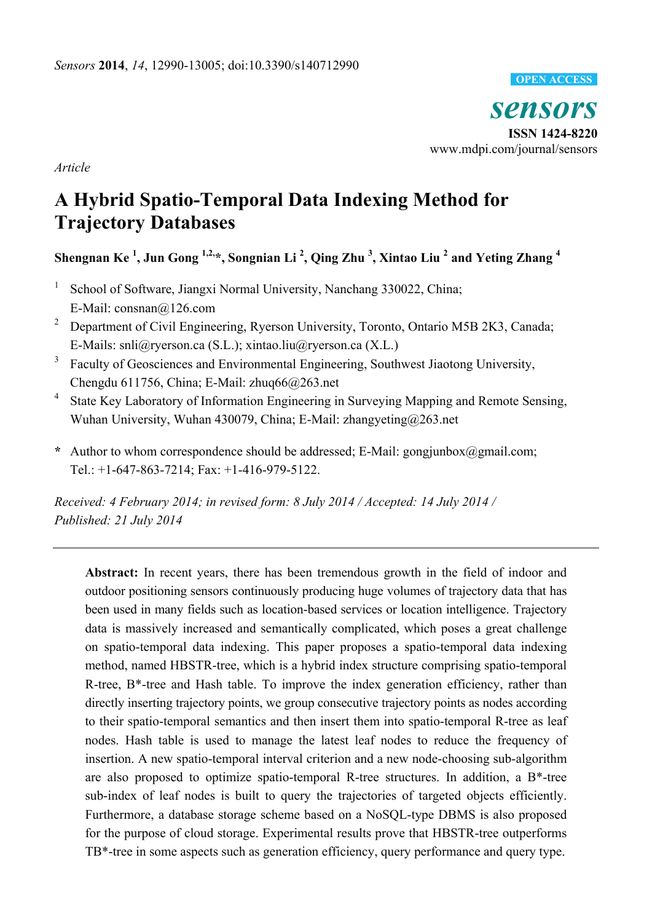

*Article* 

# **A Hybrid Spatio-Temporal Data Indexing Method for Trajectory Databases**

**Shengnan Ke <sup>1</sup> , Jun Gong 1,2,\*, Songnian Li 2 , Qing Zhu <sup>3</sup> , Xintao Liu <sup>2</sup> and Yeting Zhang 4**

- 1 School of Software, Jiangxi Normal University, Nanchang 330022, China; E-Mail: consnan@126.com
- <sup>2</sup> Department of Civil Engineering, Ryerson University, Toronto, Ontario M5B 2K3, Canada; E-Mails: snli@ryerson.ca (S.L.); xintao.liu@ryerson.ca (X.L.)
- 3 Faculty of Geosciences and Environmental Engineering, Southwest Jiaotong University, Chengdu 611756, China; E-Mail: zhuq66@263.net
- 4 State Key Laboratory of Information Engineering in Surveying Mapping and Remote Sensing, Wuhan University, Wuhan 430079, China; E-Mail: zhangyeting@263.net
- **\*** Author to whom correspondence should be addressed; E-Mail: gongjunbox@gmail.com; Tel.: +1-647-863-7214; Fax: +1-416-979-5122.

*Received: 4 February 2014; in revised form: 8 July 2014 / Accepted: 14 July 2014 / Published: 21 July 2014* 

**Abstract:** In recent years, there has been tremendous growth in the field of indoor and outdoor positioning sensors continuously producing huge volumes of trajectory data that has been used in many fields such as location-based services or location intelligence. Trajectory data is massively increased and semantically complicated, which poses a great challenge on spatio-temporal data indexing. This paper proposes a spatio-temporal data indexing method, named HBSTR-tree, which is a hybrid index structure comprising spatio-temporal R-tree, B\*-tree and Hash table. To improve the index generation efficiency, rather than directly inserting trajectory points, we group consecutive trajectory points as nodes according to their spatio-temporal semantics and then insert them into spatio-temporal R-tree as leaf nodes. Hash table is used to manage the latest leaf nodes to reduce the frequency of insertion. A new spatio-temporal interval criterion and a new node-choosing sub-algorithm are also proposed to optimize spatio-temporal R-tree structures. In addition, a B\*-tree sub-index of leaf nodes is built to query the trajectories of targeted objects efficiently. Furthermore, a database storage scheme based on a NoSQL-type DBMS is also proposed for the purpose of cloud storage. Experimental results prove that HBSTR-tree outperforms TB\*-tree in some aspects such as generation efficiency, query performance and query type.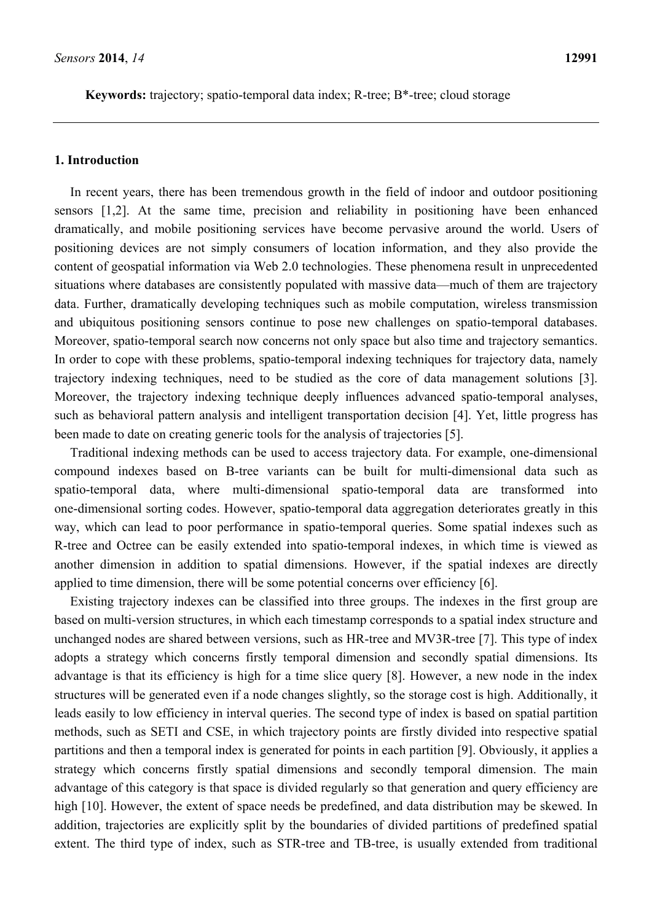**Keywords:** trajectory; spatio-temporal data index; R-tree; B\*-tree; cloud storage

## **1. Introduction**

In recent years, there has been tremendous growth in the field of indoor and outdoor positioning sensors [1,2]. At the same time, precision and reliability in positioning have been enhanced dramatically, and mobile positioning services have become pervasive around the world. Users of positioning devices are not simply consumers of location information, and they also provide the content of geospatial information via Web 2.0 technologies. These phenomena result in unprecedented situations where databases are consistently populated with massive data—much of them are trajectory data. Further, dramatically developing techniques such as mobile computation, wireless transmission and ubiquitous positioning sensors continue to pose new challenges on spatio-temporal databases. Moreover, spatio-temporal search now concerns not only space but also time and trajectory semantics. In order to cope with these problems, spatio-temporal indexing techniques for trajectory data, namely trajectory indexing techniques, need to be studied as the core of data management solutions [3]. Moreover, the trajectory indexing technique deeply influences advanced spatio-temporal analyses, such as behavioral pattern analysis and intelligent transportation decision [4]. Yet, little progress has been made to date on creating generic tools for the analysis of trajectories [5].

Traditional indexing methods can be used to access trajectory data. For example, one-dimensional compound indexes based on B-tree variants can be built for multi-dimensional data such as spatio-temporal data, where multi-dimensional spatio-temporal data are transformed into one-dimensional sorting codes. However, spatio-temporal data aggregation deteriorates greatly in this way, which can lead to poor performance in spatio-temporal queries. Some spatial indexes such as R-tree and Octree can be easily extended into spatio-temporal indexes, in which time is viewed as another dimension in addition to spatial dimensions. However, if the spatial indexes are directly applied to time dimension, there will be some potential concerns over efficiency [6].

Existing trajectory indexes can be classified into three groups. The indexes in the first group are based on multi-version structures, in which each timestamp corresponds to a spatial index structure and unchanged nodes are shared between versions, such as HR-tree and MV3R-tree [7]. This type of index adopts a strategy which concerns firstly temporal dimension and secondly spatial dimensions. Its advantage is that its efficiency is high for a time slice query [8]. However, a new node in the index structures will be generated even if a node changes slightly, so the storage cost is high. Additionally, it leads easily to low efficiency in interval queries. The second type of index is based on spatial partition methods, such as SETI and CSE, in which trajectory points are firstly divided into respective spatial partitions and then a temporal index is generated for points in each partition [9]. Obviously, it applies a strategy which concerns firstly spatial dimensions and secondly temporal dimension. The main advantage of this category is that space is divided regularly so that generation and query efficiency are high [10]. However, the extent of space needs be predefined, and data distribution may be skewed. In addition, trajectories are explicitly split by the boundaries of divided partitions of predefined spatial extent. The third type of index, such as STR-tree and TB-tree, is usually extended from traditional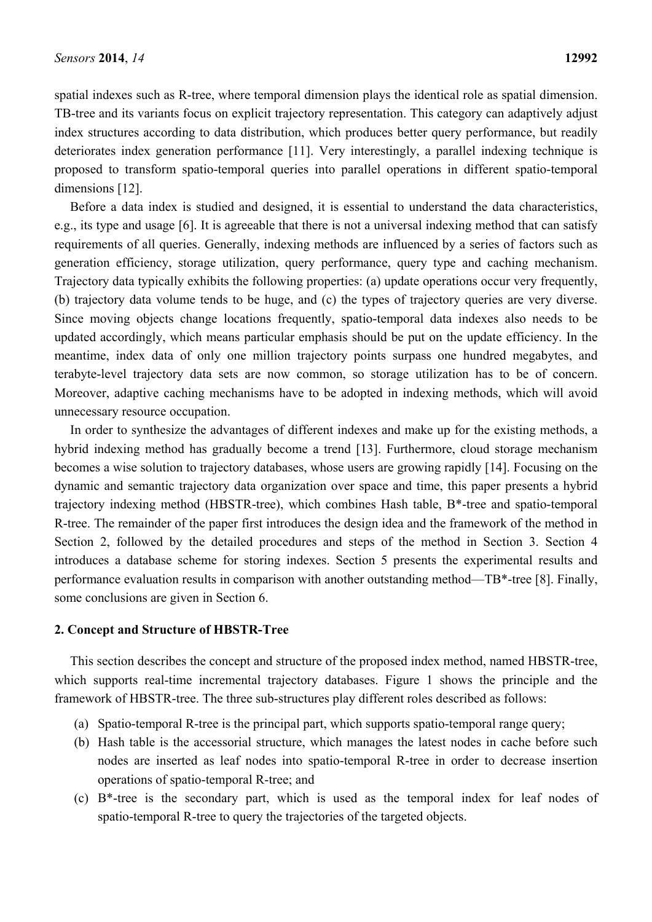spatial indexes such as R-tree, where temporal dimension plays the identical role as spatial dimension. TB-tree and its variants focus on explicit trajectory representation. This category can adaptively adjust index structures according to data distribution, which produces better query performance, but readily deteriorates index generation performance [11]. Very interestingly, a parallel indexing technique is proposed to transform spatio-temporal queries into parallel operations in different spatio-temporal dimensions [12].

Before a data index is studied and designed, it is essential to understand the data characteristics, e.g., its type and usage [6]. It is agreeable that there is not a universal indexing method that can satisfy requirements of all queries. Generally, indexing methods are influenced by a series of factors such as generation efficiency, storage utilization, query performance, query type and caching mechanism. Trajectory data typically exhibits the following properties: (a) update operations occur very frequently, (b) trajectory data volume tends to be huge, and (c) the types of trajectory queries are very diverse. Since moving objects change locations frequently, spatio-temporal data indexes also needs to be updated accordingly, which means particular emphasis should be put on the update efficiency. In the meantime, index data of only one million trajectory points surpass one hundred megabytes, and terabyte-level trajectory data sets are now common, so storage utilization has to be of concern. Moreover, adaptive caching mechanisms have to be adopted in indexing methods, which will avoid unnecessary resource occupation.

In order to synthesize the advantages of different indexes and make up for the existing methods, a hybrid indexing method has gradually become a trend [13]. Furthermore, cloud storage mechanism becomes a wise solution to trajectory databases, whose users are growing rapidly [14]. Focusing on the dynamic and semantic trajectory data organization over space and time, this paper presents a hybrid trajectory indexing method (HBSTR-tree), which combines Hash table, B\*-tree and spatio-temporal R-tree. The remainder of the paper first introduces the design idea and the framework of the method in Section 2, followed by the detailed procedures and steps of the method in Section 3. Section 4 introduces a database scheme for storing indexes. Section 5 presents the experimental results and performance evaluation results in comparison with another outstanding method—TB\*-tree [8]. Finally, some conclusions are given in Section 6.

#### **2. Concept and Structure of HBSTR-Tree**

This section describes the concept and structure of the proposed index method, named HBSTR-tree, which supports real-time incremental trajectory databases. Figure 1 shows the principle and the framework of HBSTR-tree. The three sub-structures play different roles described as follows:

- (a) Spatio-temporal R-tree is the principal part, which supports spatio-temporal range query;
- (b) Hash table is the accessorial structure, which manages the latest nodes in cache before such nodes are inserted as leaf nodes into spatio-temporal R-tree in order to decrease insertion operations of spatio-temporal R-tree; and
- (c) B\*-tree is the secondary part, which is used as the temporal index for leaf nodes of spatio-temporal R-tree to query the trajectories of the targeted objects.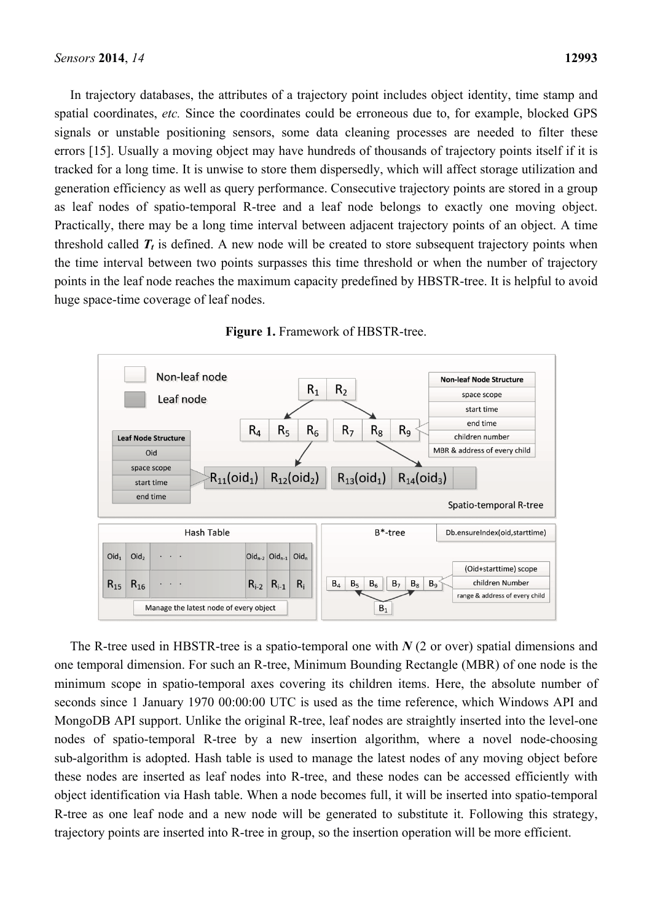In trajectory databases, the attributes of a trajectory point includes object identity, time stamp and spatial coordinates, *etc.* Since the coordinates could be erroneous due to, for example, blocked GPS signals or unstable positioning sensors, some data cleaning processes are needed to filter these errors [15]. Usually a moving object may have hundreds of thousands of trajectory points itself if it is tracked for a long time. It is unwise to store them dispersedly, which will affect storage utilization and generation efficiency as well as query performance. Consecutive trajectory points are stored in a group as leaf nodes of spatio-temporal R-tree and a leaf node belongs to exactly one moving object. Practically, there may be a long time interval between adjacent trajectory points of an object. A time threshold called  $T_t$  is defined. A new node will be created to store subsequent trajectory points when the time interval between two points surpasses this time threshold or when the number of trajectory points in the leaf node reaches the maximum capacity predefined by HBSTR-tree. It is helpful to avoid huge space-time coverage of leaf nodes.



|  |  | Figure 1. Framework of HBSTR-tree. |
|--|--|------------------------------------|
|--|--|------------------------------------|

The R-tree used in HBSTR-tree is a spatio-temporal one with *N* (2 or over) spatial dimensions and one temporal dimension. For such an R-tree, Minimum Bounding Rectangle (MBR) of one node is the minimum scope in spatio-temporal axes covering its children items. Here, the absolute number of seconds since 1 January 1970 00:00:00 UTC is used as the time reference, which Windows API and MongoDB API support. Unlike the original R-tree, leaf nodes are straightly inserted into the level-one nodes of spatio-temporal R-tree by a new insertion algorithm, where a novel node-choosing sub-algorithm is adopted. Hash table is used to manage the latest nodes of any moving object before these nodes are inserted as leaf nodes into R-tree, and these nodes can be accessed efficiently with object identification via Hash table. When a node becomes full, it will be inserted into spatio-temporal R-tree as one leaf node and a new node will be generated to substitute it. Following this strategy, trajectory points are inserted into R-tree in group, so the insertion operation will be more efficient.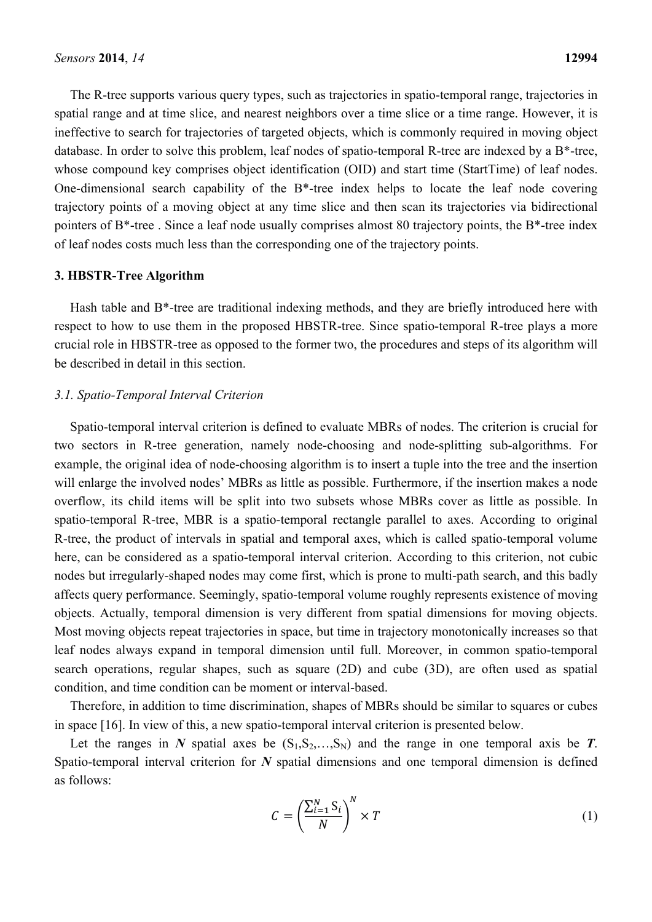The R-tree supports various query types, such as trajectories in spatio-temporal range, trajectories in spatial range and at time slice, and nearest neighbors over a time slice or a time range. However, it is ineffective to search for trajectories of targeted objects, which is commonly required in moving object database. In order to solve this problem, leaf nodes of spatio-temporal R-tree are indexed by a B\*-tree, whose compound key comprises object identification (OID) and start time (StartTime) of leaf nodes. One-dimensional search capability of the B\*-tree index helps to locate the leaf node covering trajectory points of a moving object at any time slice and then scan its trajectories via bidirectional pointers of B\*-tree . Since a leaf node usually comprises almost 80 trajectory points, the B\*-tree index of leaf nodes costs much less than the corresponding one of the trajectory points.

## **3. HBSTR-Tree Algorithm**

Hash table and B\*-tree are traditional indexing methods, and they are briefly introduced here with respect to how to use them in the proposed HBSTR-tree. Since spatio-temporal R-tree plays a more crucial role in HBSTR-tree as opposed to the former two, the procedures and steps of its algorithm will be described in detail in this section.

### *3.1. Spatio-Temporal Interval Criterion*

Spatio-temporal interval criterion is defined to evaluate MBRs of nodes. The criterion is crucial for two sectors in R-tree generation, namely node-choosing and node-splitting sub-algorithms. For example, the original idea of node-choosing algorithm is to insert a tuple into the tree and the insertion will enlarge the involved nodes' MBRs as little as possible. Furthermore, if the insertion makes a node overflow, its child items will be split into two subsets whose MBRs cover as little as possible. In spatio-temporal R-tree, MBR is a spatio-temporal rectangle parallel to axes. According to original R-tree, the product of intervals in spatial and temporal axes, which is called spatio-temporal volume here, can be considered as a spatio-temporal interval criterion. According to this criterion, not cubic nodes but irregularly-shaped nodes may come first, which is prone to multi-path search, and this badly affects query performance. Seemingly, spatio-temporal volume roughly represents existence of moving objects. Actually, temporal dimension is very different from spatial dimensions for moving objects. Most moving objects repeat trajectories in space, but time in trajectory monotonically increases so that leaf nodes always expand in temporal dimension until full. Moreover, in common spatio-temporal search operations, regular shapes, such as square (2D) and cube (3D), are often used as spatial condition, and time condition can be moment or interval-based.

Therefore, in addition to time discrimination, shapes of MBRs should be similar to squares or cubes in space [16]. In view of this, a new spatio-temporal interval criterion is presented below.

Let the ranges in *N* spatial axes be  $(S_1, S_2, \ldots, S_N)$  and the range in one temporal axis be *T*. Spatio-temporal interval criterion for *N* spatial dimensions and one temporal dimension is defined as follows:

$$
C = \left(\frac{\sum_{i=1}^{N} S_i}{N}\right)^N \times T
$$
\n(1)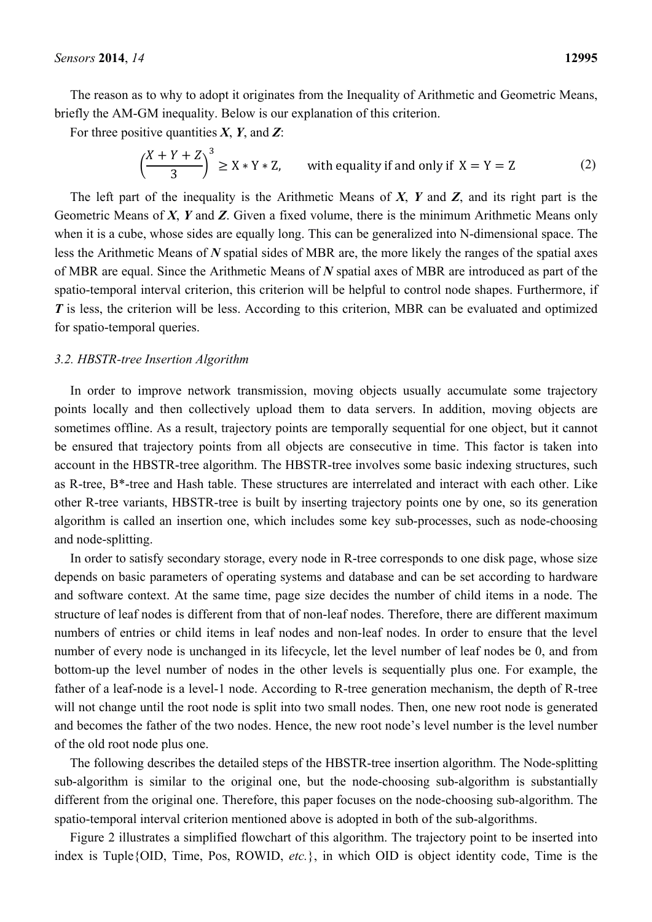The reason as to why to adopt it originates from the Inequality of Arithmetic and Geometric Means, briefly the AM-GM inequality. Below is our explanation of this criterion.

For three positive quantities *X*, *Y*, and *Z*:

$$
\left(\frac{X+Y+Z}{3}\right)^3 \ge X*Y*Z, \qquad \text{with equality if and only if } X = Y = Z \tag{2}
$$

The left part of the inequality is the Arithmetic Means of *X*, *Y* and *Z*, and its right part is the Geometric Means of *X*, *Y* and *Z*. Given a fixed volume, there is the minimum Arithmetic Means only when it is a cube, whose sides are equally long. This can be generalized into N-dimensional space. The less the Arithmetic Means of *N* spatial sides of MBR are, the more likely the ranges of the spatial axes of MBR are equal. Since the Arithmetic Means of *N* spatial axes of MBR are introduced as part of the spatio-temporal interval criterion, this criterion will be helpful to control node shapes. Furthermore, if *T* is less, the criterion will be less. According to this criterion, MBR can be evaluated and optimized for spatio-temporal queries.

#### *3.2. HBSTR-tree Insertion Algorithm*

In order to improve network transmission, moving objects usually accumulate some trajectory points locally and then collectively upload them to data servers. In addition, moving objects are sometimes offline. As a result, trajectory points are temporally sequential for one object, but it cannot be ensured that trajectory points from all objects are consecutive in time. This factor is taken into account in the HBSTR-tree algorithm. The HBSTR-tree involves some basic indexing structures, such as R-tree, B\*-tree and Hash table. These structures are interrelated and interact with each other. Like other R-tree variants, HBSTR-tree is built by inserting trajectory points one by one, so its generation algorithm is called an insertion one, which includes some key sub-processes, such as node-choosing and node-splitting.

In order to satisfy secondary storage, every node in R-tree corresponds to one disk page, whose size depends on basic parameters of operating systems and database and can be set according to hardware and software context. At the same time, page size decides the number of child items in a node. The structure of leaf nodes is different from that of non-leaf nodes. Therefore, there are different maximum numbers of entries or child items in leaf nodes and non-leaf nodes. In order to ensure that the level number of every node is unchanged in its lifecycle, let the level number of leaf nodes be 0, and from bottom-up the level number of nodes in the other levels is sequentially plus one. For example, the father of a leaf-node is a level-1 node. According to R-tree generation mechanism, the depth of R-tree will not change until the root node is split into two small nodes. Then, one new root node is generated and becomes the father of the two nodes. Hence, the new root node's level number is the level number of the old root node plus one.

The following describes the detailed steps of the HBSTR-tree insertion algorithm. The Node-splitting sub-algorithm is similar to the original one, but the node-choosing sub-algorithm is substantially different from the original one. Therefore, this paper focuses on the node-choosing sub-algorithm. The spatio-temporal interval criterion mentioned above is adopted in both of the sub-algorithms.

Figure 2 illustrates a simplified flowchart of this algorithm. The trajectory point to be inserted into index is Tuple{OID, Time, Pos, ROWID, *etc.*}, in which OID is object identity code, Time is the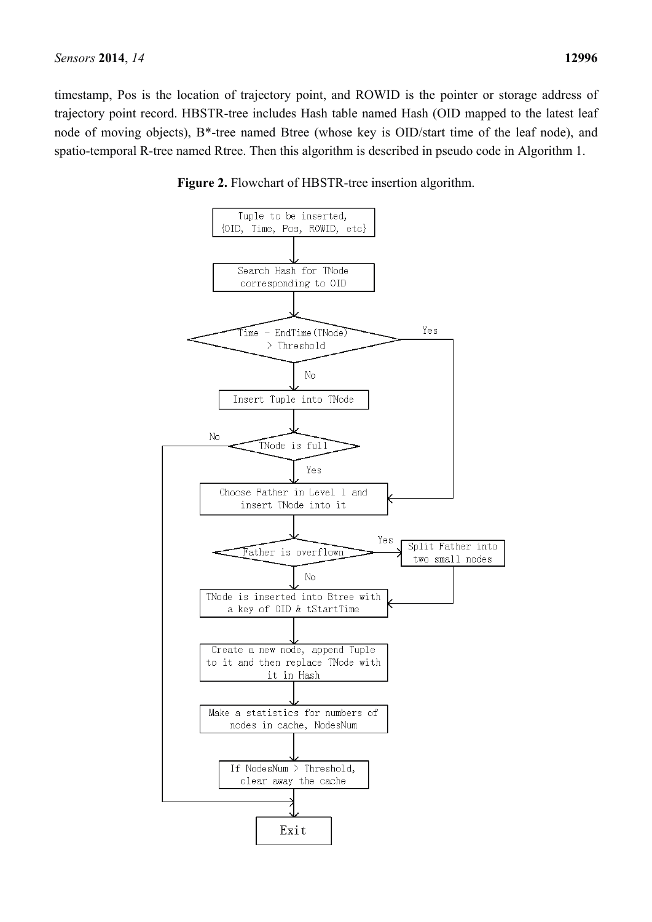timestamp, Pos is the location of trajectory point, and ROWID is the pointer or storage address of trajectory point record. HBSTR-tree includes Hash table named Hash (OID mapped to the latest leaf node of moving objects), B\*-tree named Btree (whose key is OID/start time of the leaf node), and spatio-temporal R-tree named Rtree. Then this algorithm is described in pseudo code in Algorithm 1.



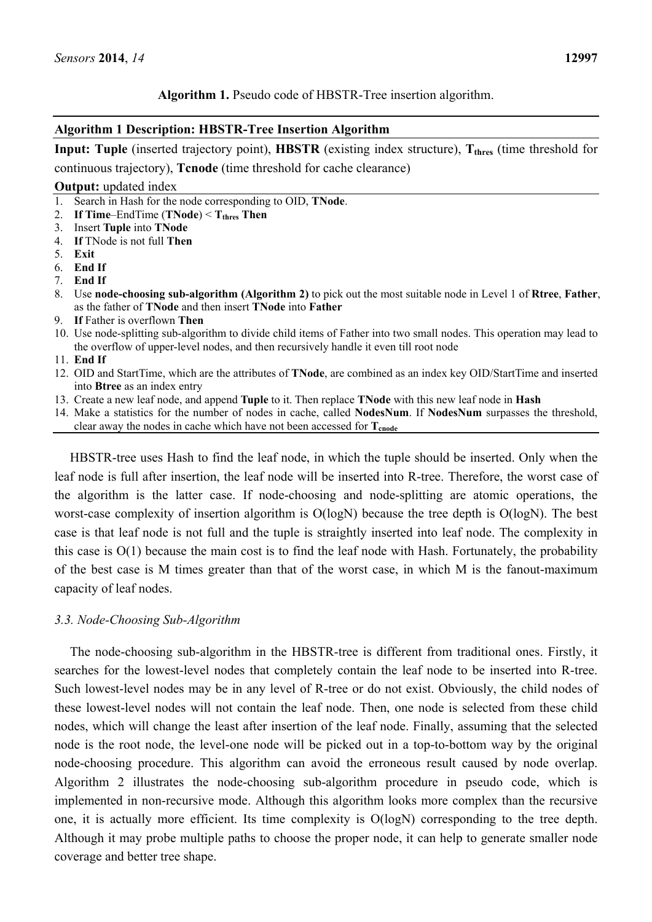## **Algorithm 1.** Pseudo code of HBSTR-Tree insertion algorithm.

## **Algorithm 1 Description: HBSTR-Tree Insertion Algorithm**

**Input: Tuple** (inserted trajectory point), **HBSTR** (existing index structure),  $T_{thres}$  (time threshold for continuous trajectory), **Tcnode** (time threshold for cache clearance)

**Output:** updated index

- 1. Search in Hash for the node corresponding to OID, **TNode**.
- 2. **If Time–EndTime (TNode)**  $\leq$  **T<sub>thres</sub> Then**
- 3. Insert **Tuple** into **TNode**
- 4. **If** TNode is not full **Then**
- 5. **Exit**
- 6. **End If**
- 7. **End If**
- 8. Use **node-choosing sub-algorithm (Algorithm 2)** to pick out the most suitable node in Level 1 of **Rtree**, **Father**, as the father of **TNode** and then insert **TNode** into **Father**
- 9. **If** Father is overflown **Then**
- 10. Use node-splitting sub-algorithm to divide child items of Father into two small nodes. This operation may lead to the overflow of upper-level nodes, and then recursively handle it even till root node
- 11. **End If**
- 12. OID and StartTime, which are the attributes of **TNode**, are combined as an index key OID/StartTime and inserted into **Btree** as an index entry
- 13. Create a new leaf node, and append **Tuple** to it. Then replace **TNode** with this new leaf node in **Hash**
- 14. Make a statistics for the number of nodes in cache, called **NodesNum**. If **NodesNum** surpasses the threshold,

clear away the nodes in cache which have not been accessed for  $T_{\text{cnode}}$ 

HBSTR-tree uses Hash to find the leaf node, in which the tuple should be inserted. Only when the leaf node is full after insertion, the leaf node will be inserted into R-tree. Therefore, the worst case of the algorithm is the latter case. If node-choosing and node-splitting are atomic operations, the worst-case complexity of insertion algorithm is O(logN) because the tree depth is O(logN). The best case is that leaf node is not full and the tuple is straightly inserted into leaf node. The complexity in this case is O(1) because the main cost is to find the leaf node with Hash. Fortunately, the probability of the best case is M times greater than that of the worst case, in which M is the fanout-maximum capacity of leaf nodes.

# *3.3. Node-Choosing Sub-Algorithm*

The node-choosing sub-algorithm in the HBSTR-tree is different from traditional ones. Firstly, it searches for the lowest-level nodes that completely contain the leaf node to be inserted into R-tree. Such lowest-level nodes may be in any level of R-tree or do not exist. Obviously, the child nodes of these lowest-level nodes will not contain the leaf node. Then, one node is selected from these child nodes, which will change the least after insertion of the leaf node. Finally, assuming that the selected node is the root node, the level-one node will be picked out in a top-to-bottom way by the original node-choosing procedure. This algorithm can avoid the erroneous result caused by node overlap. Algorithm 2 illustrates the node-choosing sub-algorithm procedure in pseudo code, which is implemented in non-recursive mode. Although this algorithm looks more complex than the recursive one, it is actually more efficient. Its time complexity is O(logN) corresponding to the tree depth. Although it may probe multiple paths to choose the proper node, it can help to generate smaller node coverage and better tree shape.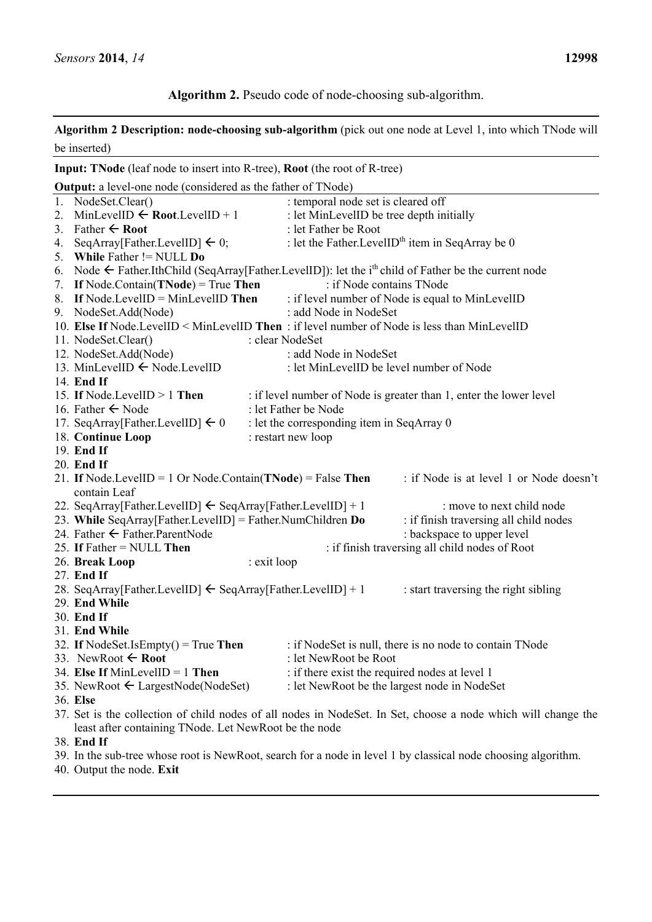# **Algorithm 2.** Pseudo code of node-choosing sub-algorithm.

**Algorithm 2 Description: node-choosing sub-algorithm** (pick out one node at Level 1, into which TNode will be inserted)

| <b>Input: TNode</b> (leaf node to insert into R-tree), <b>Root</b> (the root of R-tree)                                           |             |                                            |                                                                                                               |
|-----------------------------------------------------------------------------------------------------------------------------------|-------------|--------------------------------------------|---------------------------------------------------------------------------------------------------------------|
| <b>Output:</b> a level-one node (considered as the father of TNode)                                                               |             |                                            |                                                                                                               |
| $\overline{1.}$ NodeSet.Clear()                                                                                                   |             | : temporal node set is cleared off         |                                                                                                               |
| 2. MinLevelID $\leftarrow$ Root.LevelID + 1<br>: let MinLevelID be tree depth initially                                           |             |                                            |                                                                                                               |
| : let Father be Root<br>3. Father $\leftarrow$ Root                                                                               |             |                                            |                                                                                                               |
| 4. SeqArray[Father.LevelID] $\leftarrow 0$ ;                                                                                      |             |                                            | : let the Father.LevelID <sup>th</sup> item in SeqArray be 0                                                  |
| 5. While Father != NULL Do                                                                                                        |             |                                            |                                                                                                               |
| 6. Node $\leftarrow$ Father. Ith Child (Seq Array [Father. LevelID]): let the i <sup>th</sup> child of Father be the current node |             |                                            |                                                                                                               |
| 7. If Node.Contain(TNode) = True Then                                                                                             |             |                                            | : if Node contains TNode                                                                                      |
| 8. If Node.LevelID = MinLevelID Then                                                                                              |             |                                            | : if level number of Node is equal to MinLevelID                                                              |
| 9. NodeSet.Add(Node)                                                                                                              |             | : add Node in NodeSet                      |                                                                                                               |
| 10. Else If Node.LevelID < MinLevelID Then: if level number of Node is less than MinLevelID                                       |             |                                            |                                                                                                               |
| 11. NodeSet.Clear()                                                                                                               |             | : clear NodeSet                            |                                                                                                               |
| 12. NodeSet.Add(Node)                                                                                                             |             | : add Node in NodeSet                      |                                                                                                               |
| 13. MinLevelID $\leftarrow$ Node.LevelID                                                                                          |             |                                            | : let MinLevelID be level number of Node                                                                      |
| 14. End If                                                                                                                        |             |                                            |                                                                                                               |
| 15. If Node.LevelID $> 1$ Then<br>16. Father $\leftarrow$ Node                                                                    |             | : let Father be Node                       | : if level number of Node is greater than 1, enter the lower level                                            |
| 17. SeqArray[Father.LevelID] $\Leftarrow$ 0                                                                                       |             | : let the corresponding item in SeqArray 0 |                                                                                                               |
| 18. Continue Loop                                                                                                                 |             | : restart new loop                         |                                                                                                               |
| 19. End If                                                                                                                        |             |                                            |                                                                                                               |
| 20. End If                                                                                                                        |             |                                            |                                                                                                               |
| 21. If Node.LevelID = 1 Or Node.Contain( $\text{TNode}$ ) = False Then                                                            |             |                                            | : if Node is at level 1 or Node doesn't                                                                       |
| contain Leaf                                                                                                                      |             |                                            |                                                                                                               |
| 22. SeqArray[Father.LevelID] $\leftarrow$ SeqArray[Father.LevelID] + 1                                                            |             |                                            | : move to next child node                                                                                     |
| 23. While SeqArray[Father.LevelID] = Father.NumChildren Do                                                                        |             |                                            | : if finish traversing all child nodes                                                                        |
| 24. Father $\leftarrow$ Father ParentNode                                                                                         |             |                                            | : backspace to upper level                                                                                    |
| 25. If Father $=$ NULL Then                                                                                                       |             |                                            | : if finish traversing all child nodes of Root                                                                |
| 26. Break Loop                                                                                                                    | : exit loop |                                            |                                                                                                               |
| 27. End If                                                                                                                        |             |                                            |                                                                                                               |
| 28. SeqArray[Father.LevelID] $\leftarrow$ SeqArray[Father.LevelID] + 1                                                            |             |                                            | : start traversing the right sibling                                                                          |
| 29. End While                                                                                                                     |             |                                            |                                                                                                               |
| 30. End If                                                                                                                        |             |                                            |                                                                                                               |
| 31. End While                                                                                                                     |             |                                            |                                                                                                               |
| 32. If NodeSet.IsEmpty $()$ = True Then                                                                                           |             |                                            | : if NodeSet is null, there is no node to contain TNode                                                       |
| 33. NewRoot $\leftarrow$ Root                                                                                                     |             | : let NewRoot be Root                      |                                                                                                               |
| 34. Else If MinLevelID = $1$ Then                                                                                                 |             |                                            | : if there exist the required nodes at level 1                                                                |
| 35. NewRoot $\leftarrow$ LargestNode(NodeSet)                                                                                     |             |                                            | : let NewRoot be the largest node in NodeSet                                                                  |
| 36. Else                                                                                                                          |             |                                            |                                                                                                               |
|                                                                                                                                   |             |                                            | 37. Set is the collection of child nodes of all nodes in NodeSet. In Set, choose a node which will change the |
| least after containing TNode. Let NewRoot be the node                                                                             |             |                                            |                                                                                                               |
| 38. End If                                                                                                                        |             |                                            |                                                                                                               |

39. In the sub-tree whose root is NewRoot, search for a node in level 1 by classical node choosing algorithm.

40. Output the node. **Exit**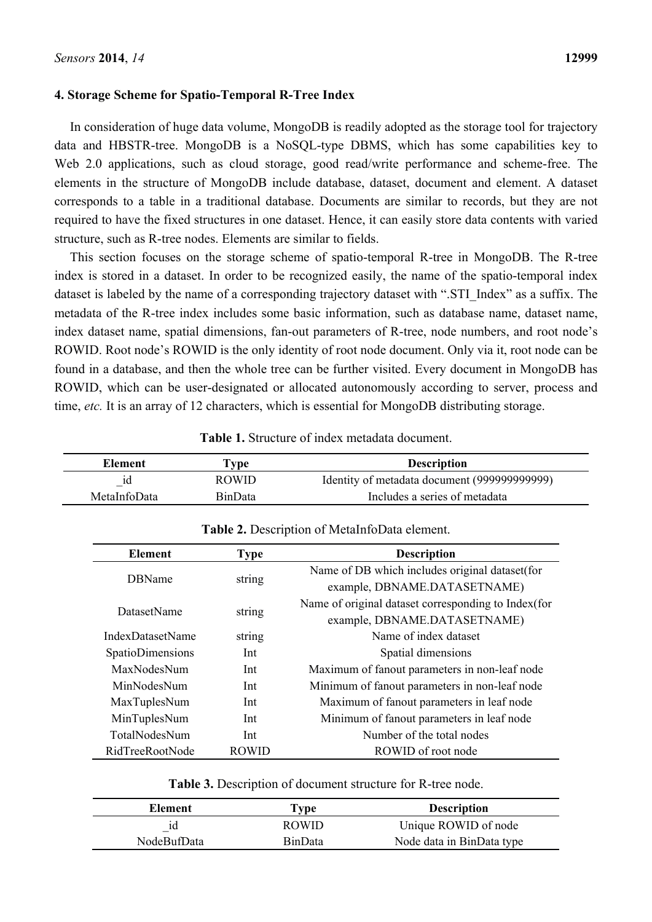## **4. Storage Scheme for Spatio-Temporal R-Tree Index**

In consideration of huge data volume, MongoDB is readily adopted as the storage tool for trajectory data and HBSTR-tree. MongoDB is a NoSQL-type DBMS, which has some capabilities key to Web 2.0 applications, such as cloud storage, good read/write performance and scheme-free. The elements in the structure of MongoDB include database, dataset, document and element. A dataset corresponds to a table in a traditional database. Documents are similar to records, but they are not required to have the fixed structures in one dataset. Hence, it can easily store data contents with varied structure, such as R-tree nodes. Elements are similar to fields.

This section focuses on the storage scheme of spatio-temporal R-tree in MongoDB. The R-tree index is stored in a dataset. In order to be recognized easily, the name of the spatio-temporal index dataset is labeled by the name of a corresponding trajectory dataset with ".STI\_Index" as a suffix. The metadata of the R-tree index includes some basic information, such as database name, dataset name, index dataset name, spatial dimensions, fan-out parameters of R-tree, node numbers, and root node's ROWID. Root node's ROWID is the only identity of root node document. Only via it, root node can be found in a database, and then the whole tree can be further visited. Every document in MongoDB has ROWID, which can be user-designated or allocated autonomously according to server, process and time, *etc.* It is an array of 12 characters, which is essential for MongoDB distributing storage.

| <b>Element</b> | l'vpe          | <b>Description</b>                           |
|----------------|----------------|----------------------------------------------|
| 1d             | <b>ROWID</b>   | Identity of metadata document (999999999999) |
| MetaInfoData   | <b>BinData</b> | Includes a series of metadata                |

| Table 1. Structure of index metadata document. |
|------------------------------------------------|
|------------------------------------------------|

| Table 2. Description of MetaInfoData element. |  |
|-----------------------------------------------|--|
|-----------------------------------------------|--|

| <b>Element</b>     | <b>Type</b>  | <b>Description</b>                                   |  |
|--------------------|--------------|------------------------------------------------------|--|
|                    |              | Name of DB which includes original dataset (for      |  |
| <b>DBName</b>      | string       | example, DBNAME.DATASETNAME)                         |  |
| <b>DatasetName</b> | string       | Name of original dataset corresponding to Index (for |  |
|                    |              | example, DBNAME.DATASETNAME)                         |  |
| IndexDatasetName   | string       | Name of index dataset                                |  |
| SpatioDimensions   | Int          | Spatial dimensions                                   |  |
| MaxNodesNum        | Int          | Maximum of fanout parameters in non-leaf node        |  |
| MinNodesNum        | Int          | Minimum of fanout parameters in non-leaf node        |  |
| MaxTuplesNum       | Int          | Maximum of fanout parameters in leaf node            |  |
| MinTuplesNum       | Int          | Minimum of fanout parameters in leaf node            |  |
| TotalNodesNum      | Int          | Number of the total nodes                            |  |
| RidTreeRootNode    | <b>ROWID</b> | ROWID of root node                                   |  |

**Table 3.** Description of document structure for R-tree node.

| Element     | l'vpe          | <b>Description</b>        |
|-------------|----------------|---------------------------|
| 1d          | <b>ROWID</b>   | Unique ROWID of node      |
| NodeBufData | <b>BinData</b> | Node data in BinData type |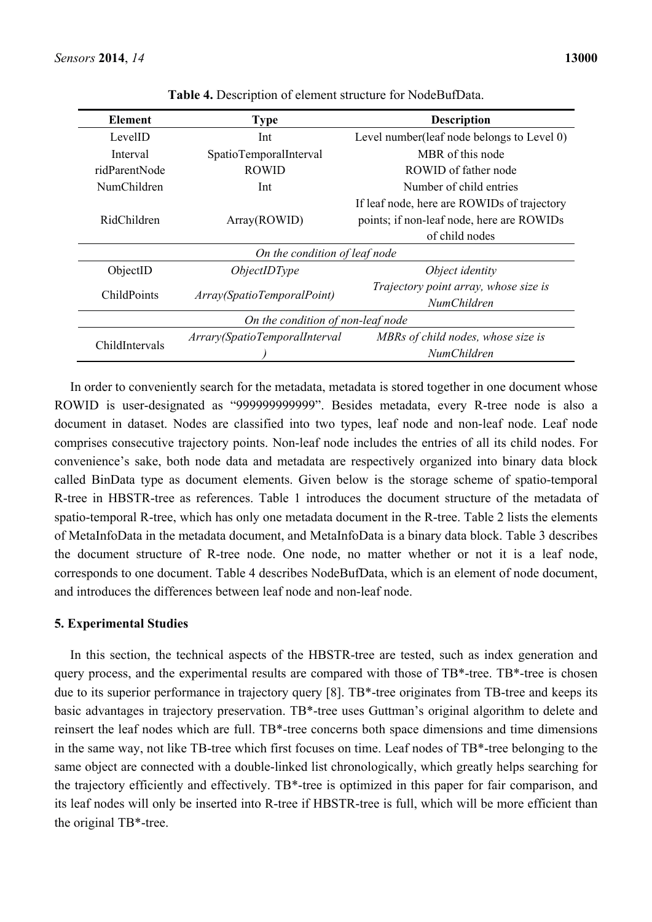| <b>Element</b>                    | <b>Type</b>                   | <b>Description</b>                          |  |  |  |  |
|-----------------------------------|-------------------------------|---------------------------------------------|--|--|--|--|
| LevelID                           | Int                           | Level number (leaf node belongs to Level 0) |  |  |  |  |
| <b>Interval</b>                   | SpatioTemporalInterval        | MBR of this node                            |  |  |  |  |
| ridParentNode                     | <b>ROWID</b>                  | ROWID of father node                        |  |  |  |  |
| NumChildren                       | Int                           | Number of child entries                     |  |  |  |  |
|                                   |                               | If leaf node, here are ROWIDs of trajectory |  |  |  |  |
| RidChildren                       | Array(ROWID)                  | points; if non-leaf node, here are ROWIDs   |  |  |  |  |
|                                   |                               | of child nodes                              |  |  |  |  |
|                                   | On the condition of leaf node |                                             |  |  |  |  |
| ObjectID                          | ObjectIDType                  | Object identity                             |  |  |  |  |
| ChildPoints                       |                               | Trajectory point array, whose size is       |  |  |  |  |
|                                   | Array(SpatioTemporalPoint)    | <b>NumChildren</b>                          |  |  |  |  |
| On the condition of non-leaf node |                               |                                             |  |  |  |  |
| ChildIntervals                    | Arrary(SpatioTemporalInterval | MBRs of child nodes, whose size is          |  |  |  |  |
|                                   |                               | <b>NumChildren</b>                          |  |  |  |  |

**Table 4.** Description of element structure for NodeBufData.

In order to conveniently search for the metadata, metadata is stored together in one document whose ROWID is user-designated as "999999999999". Besides metadata, every R-tree node is also a document in dataset. Nodes are classified into two types, leaf node and non-leaf node. Leaf node comprises consecutive trajectory points. Non-leaf node includes the entries of all its child nodes. For convenience's sake, both node data and metadata are respectively organized into binary data block called BinData type as document elements. Given below is the storage scheme of spatio-temporal R-tree in HBSTR-tree as references. Table 1 introduces the document structure of the metadata of spatio-temporal R-tree, which has only one metadata document in the R-tree. Table 2 lists the elements of MetaInfoData in the metadata document, and MetaInfoData is a binary data block. Table 3 describes the document structure of R-tree node. One node, no matter whether or not it is a leaf node, corresponds to one document. Table 4 describes NodeBufData, which is an element of node document, and introduces the differences between leaf node and non-leaf node.

# **5. Experimental Studies**

In this section, the technical aspects of the HBSTR-tree are tested, such as index generation and query process, and the experimental results are compared with those of TB\*-tree. TB\*-tree is chosen due to its superior performance in trajectory query [8]. TB\*-tree originates from TB-tree and keeps its basic advantages in trajectory preservation. TB\*-tree uses Guttman's original algorithm to delete and reinsert the leaf nodes which are full. TB\*-tree concerns both space dimensions and time dimensions in the same way, not like TB-tree which first focuses on time. Leaf nodes of TB\*-tree belonging to the same object are connected with a double-linked list chronologically, which greatly helps searching for the trajectory efficiently and effectively. TB\*-tree is optimized in this paper for fair comparison, and its leaf nodes will only be inserted into R-tree if HBSTR-tree is full, which will be more efficient than the original TB\*-tree.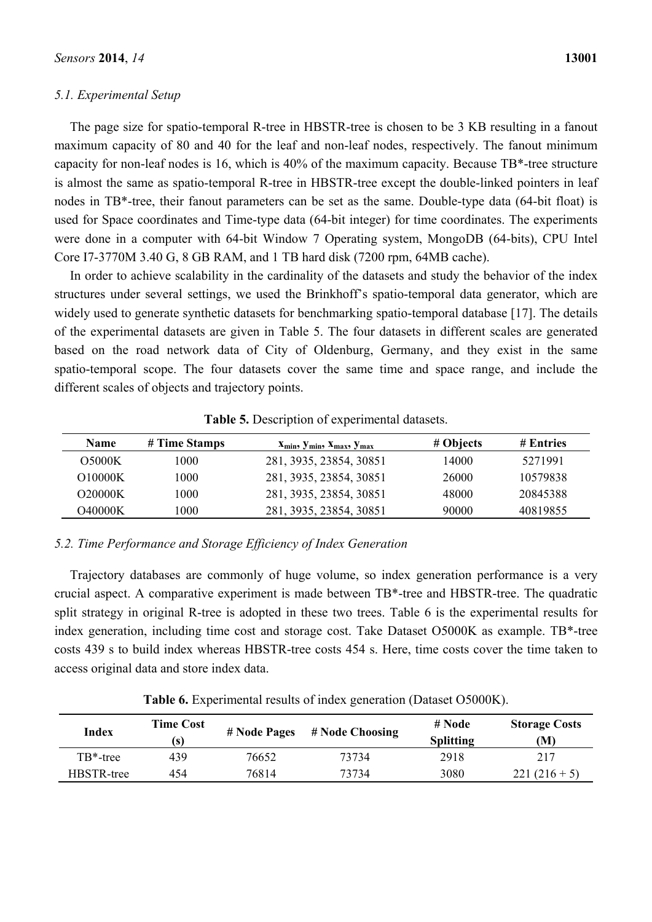## *5.1. Experimental Setup*

The page size for spatio-temporal R-tree in HBSTR-tree is chosen to be 3 KB resulting in a fanout maximum capacity of 80 and 40 for the leaf and non-leaf nodes, respectively. The fanout minimum capacity for non-leaf nodes is 16, which is 40% of the maximum capacity. Because TB\*-tree structure is almost the same as spatio-temporal R-tree in HBSTR-tree except the double-linked pointers in leaf nodes in TB\*-tree, their fanout parameters can be set as the same. Double-type data (64-bit float) is used for Space coordinates and Time-type data (64-bit integer) for time coordinates. The experiments were done in a computer with 64-bit Window 7 Operating system, MongoDB (64-bits), CPU Intel Core I7-3770M 3.40 G, 8 GB RAM, and 1 TB hard disk (7200 rpm, 64MB cache).

In order to achieve scalability in the cardinality of the datasets and study the behavior of the index structures under several settings, we used the Brinkhoff's spatio-temporal data generator, which are widely used to generate synthetic datasets for benchmarking spatio-temporal database [17]. The details of the experimental datasets are given in Table 5. The four datasets in different scales are generated based on the road network data of City of Oldenburg, Germany, and they exist in the same spatio-temporal scope. The four datasets cover the same time and space range, and include the different scales of objects and trajectory points.

| <b>Name</b> | # Time Stamps | $X_{\min}$ , $Y_{\min}$ , $X_{\max}$ , $Y_{\max}$ | # Objects | # Entries |
|-------------|---------------|---------------------------------------------------|-----------|-----------|
| O5000K      | 1000          | 281, 3935, 23854, 30851                           | 14000     | 5271991   |
| O10000K     | 1000          | 281, 3935, 23854, 30851                           | 26000     | 10579838  |
| O20000K     | 1000          | 281, 3935, 23854, 30851                           | 48000     | 20845388  |
| O40000K     | 1000          | 281, 3935, 23854, 30851                           | 90000     | 40819855  |

**Table 5.** Description of experimental datasets.

#### *5.2. Time Performance and Storage Efficiency of Index Generation*

Trajectory databases are commonly of huge volume, so index generation performance is a very crucial aspect. A comparative experiment is made between TB\*-tree and HBSTR-tree. The quadratic split strategy in original R-tree is adopted in these two trees. Table 6 is the experimental results for index generation, including time cost and storage cost. Take Dataset O5000K as example. TB\*-tree costs 439 s to build index whereas HBSTR-tree costs 454 s. Here, time costs cover the time taken to access original data and store index data.

**Table 6.** Experimental results of index generation (Dataset O5000K).

| <b>Index</b> | <b>Time Cost</b><br>(s) | # Node Pages | # Node Choosing | # Node<br><b>Splitting</b> | <b>Storage Costs</b><br>M |
|--------------|-------------------------|--------------|-----------------|----------------------------|---------------------------|
| TB*-tree     | 439                     | 76652        | 73734           | 2918                       | 217                       |
| HBSTR-tree   | 454                     | 76814        | 73734           | 3080                       | $221(216+5)$              |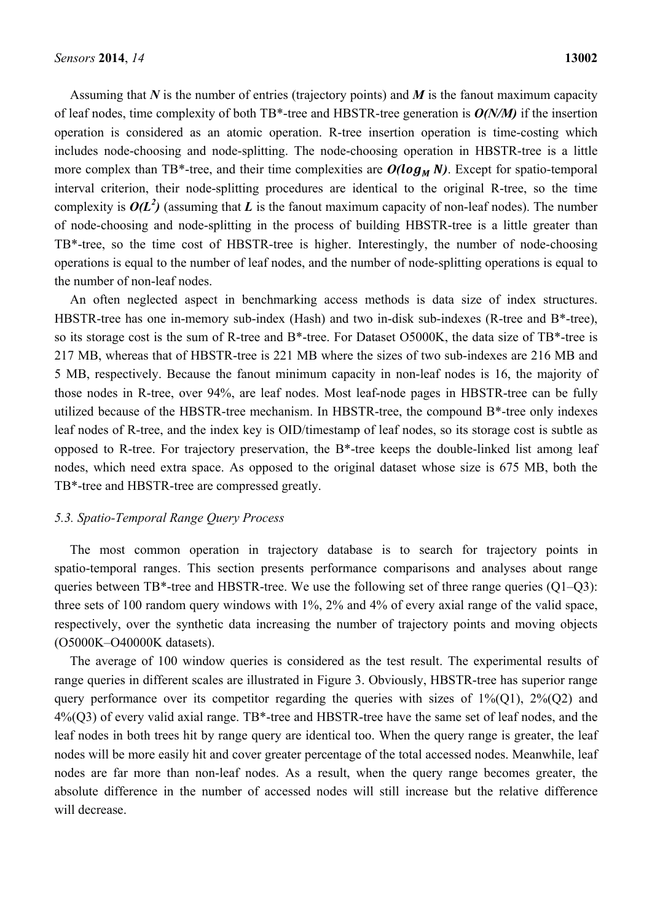Assuming that *N* is the number of entries (trajectory points) and *M* is the fanout maximum capacity of leaf nodes, time complexity of both TB\*-tree and HBSTR-tree generation is *O(N/M)* if the insertion operation is considered as an atomic operation. R-tree insertion operation is time-costing which includes node-choosing and node-splitting. The node-choosing operation in HBSTR-tree is a little more complex than TB<sup>\*</sup>-tree, and their time complexities are  $O(log_M N)$ . Except for spatio-temporal interval criterion, their node-splitting procedures are identical to the original R-tree, so the time complexity is  $O(L^2)$  (assuming that *L* is the fanout maximum capacity of non-leaf nodes). The number of node-choosing and node-splitting in the process of building HBSTR-tree is a little greater than TB\*-tree, so the time cost of HBSTR-tree is higher. Interestingly, the number of node-choosing operations is equal to the number of leaf nodes, and the number of node-splitting operations is equal to the number of non-leaf nodes.

An often neglected aspect in benchmarking access methods is data size of index structures. HBSTR-tree has one in-memory sub-index (Hash) and two in-disk sub-indexes (R-tree and B\*-tree), so its storage cost is the sum of R-tree and B\*-tree. For Dataset O5000K, the data size of TB\*-tree is 217 MB, whereas that of HBSTR-tree is 221 MB where the sizes of two sub-indexes are 216 MB and 5 MB, respectively. Because the fanout minimum capacity in non-leaf nodes is 16, the majority of those nodes in R-tree, over 94%, are leaf nodes. Most leaf-node pages in HBSTR-tree can be fully utilized because of the HBSTR-tree mechanism. In HBSTR-tree, the compound B\*-tree only indexes leaf nodes of R-tree, and the index key is OID/timestamp of leaf nodes, so its storage cost is subtle as opposed to R-tree. For trajectory preservation, the B\*-tree keeps the double-linked list among leaf nodes, which need extra space. As opposed to the original dataset whose size is 675 MB, both the TB\*-tree and HBSTR-tree are compressed greatly.

#### *5.3. Spatio-Temporal Range Query Process*

The most common operation in trajectory database is to search for trajectory points in spatio-temporal ranges. This section presents performance comparisons and analyses about range queries between TB\*-tree and HBSTR-tree. We use the following set of three range queries (Q1–Q3): three sets of 100 random query windows with 1%, 2% and 4% of every axial range of the valid space, respectively, over the synthetic data increasing the number of trajectory points and moving objects (O5000K–O40000K datasets).

The average of 100 window queries is considered as the test result. The experimental results of range queries in different scales are illustrated in Figure 3. Obviously, HBSTR-tree has superior range query performance over its competitor regarding the queries with sizes of  $1\%(Q1)$ ,  $2\%(Q2)$  and  $4\%$ (Q3) of every valid axial range. TB\*-tree and HBSTR-tree have the same set of leaf nodes, and the leaf nodes in both trees hit by range query are identical too. When the query range is greater, the leaf nodes will be more easily hit and cover greater percentage of the total accessed nodes. Meanwhile, leaf nodes are far more than non-leaf nodes. As a result, when the query range becomes greater, the absolute difference in the number of accessed nodes will still increase but the relative difference will decrease.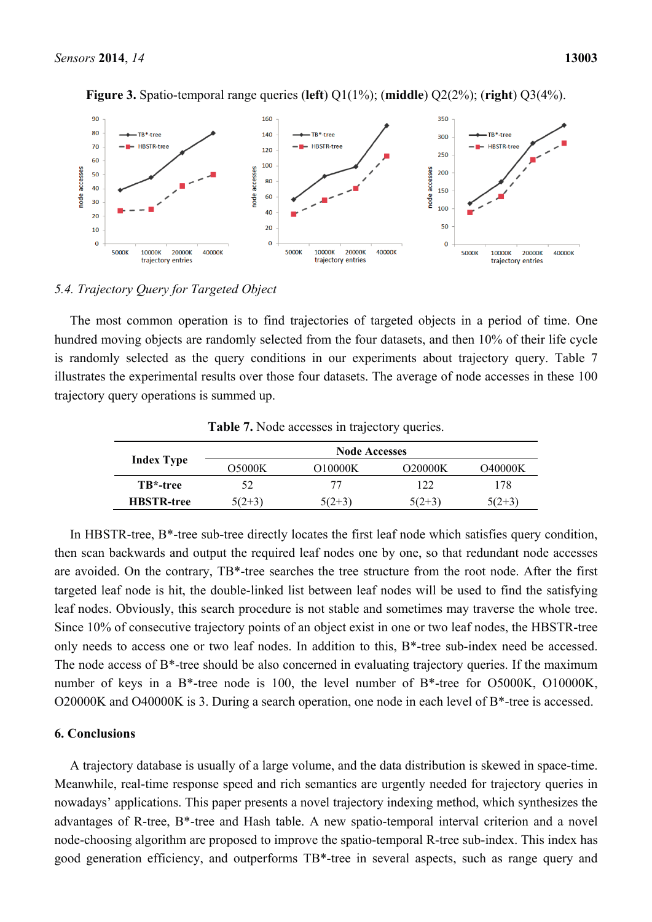

**Figure 3.** Spatio-temporal range queries (**left**) Q1(1%); (**middle**) Q2(2%); (**right**) Q3(4%).

#### *5.4. Trajectory Query for Targeted Object*

The most common operation is to find trajectories of targeted objects in a period of time. One hundred moving objects are randomly selected from the four datasets, and then 10% of their life cycle is randomly selected as the query conditions in our experiments about trajectory query. Table 7 illustrates the experimental results over those four datasets. The average of node accesses in these 100 trajectory query operations is summed up.

| <b>Index Type</b> |          | <b>Node Accesses</b> |                |                |
|-------------------|----------|----------------------|----------------|----------------|
|                   | O5000K   | O10000K              | <b>O20000K</b> | <b>O40000K</b> |
| TB*-tree          |          | 77                   | 122            | 178            |
| <b>HBSTR-tree</b> | $5(2+3)$ | $5(2+3)$             | $5(2+3)$       | $5(2+3)$       |

**Table 7.** Node accesses in trajectory queries.

In HBSTR-tree, B\*-tree sub-tree directly locates the first leaf node which satisfies query condition, then scan backwards and output the required leaf nodes one by one, so that redundant node accesses are avoided. On the contrary, TB\*-tree searches the tree structure from the root node. After the first targeted leaf node is hit, the double-linked list between leaf nodes will be used to find the satisfying leaf nodes. Obviously, this search procedure is not stable and sometimes may traverse the whole tree. Since 10% of consecutive trajectory points of an object exist in one or two leaf nodes, the HBSTR-tree only needs to access one or two leaf nodes. In addition to this, B\*-tree sub-index need be accessed. The node access of B<sup>\*</sup>-tree should be also concerned in evaluating trajectory queries. If the maximum number of keys in a B\*-tree node is 100, the level number of B\*-tree for O5000K, O10000K, O20000K and O40000K is 3. During a search operation, one node in each level of B\*-tree is accessed.

#### **6. Conclusions**

A trajectory database is usually of a large volume, and the data distribution is skewed in space-time. Meanwhile, real-time response speed and rich semantics are urgently needed for trajectory queries in nowadays' applications. This paper presents a novel trajectory indexing method, which synthesizes the advantages of R-tree, B\*-tree and Hash table. A new spatio-temporal interval criterion and a novel node-choosing algorithm are proposed to improve the spatio-temporal R-tree sub-index. This index has good generation efficiency, and outperforms TB\*-tree in several aspects, such as range query and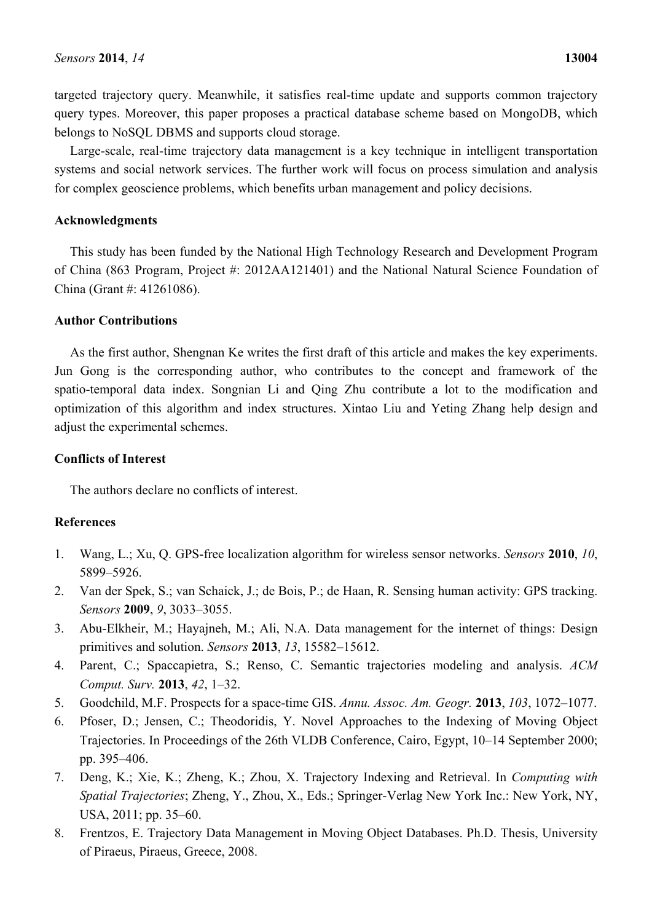targeted trajectory query. Meanwhile, it satisfies real-time update and supports common trajectory query types. Moreover, this paper proposes a practical database scheme based on MongoDB, which belongs to NoSQL DBMS and supports cloud storage.

Large-scale, real-time trajectory data management is a key technique in intelligent transportation systems and social network services. The further work will focus on process simulation and analysis for complex geoscience problems, which benefits urban management and policy decisions.

## **Acknowledgments**

This study has been funded by the National High Technology Research and Development Program of China (863 Program, Project #: 2012AA121401) and the National Natural Science Foundation of China (Grant #: 41261086).

# **Author Contributions**

As the first author, Shengnan Ke writes the first draft of this article and makes the key experiments. Jun Gong is the corresponding author, who contributes to the concept and framework of the spatio-temporal data index. Songnian Li and Qing Zhu contribute a lot to the modification and optimization of this algorithm and index structures. Xintao Liu and Yeting Zhang help design and adjust the experimental schemes.

# **Conflicts of Interest**

The authors declare no conflicts of interest.

## **References**

- 1. Wang, L.; Xu, Q. GPS-free localization algorithm for wireless sensor networks. *Sensors* **2010**, *10*, 5899–5926.
- 2. Van der Spek, S.; van Schaick, J.; de Bois, P.; de Haan, R. Sensing human activity: GPS tracking. *Sensors* **2009**, *9*, 3033–3055.
- 3. Abu-Elkheir, M.; Hayajneh, M.; Ali, N.A. Data management for the internet of things: Design primitives and solution. *Sensors* **2013**, *13*, 15582–15612.
- 4. Parent, C.; Spaccapietra, S.; Renso, C. Semantic trajectories modeling and analysis. *ACM Comput. Surv.* **2013**, *42*, 1–32.
- 5. Goodchild, M.F. Prospects for a space-time GIS. *Annu. Assoc. Am. Geogr.* **2013**, *103*, 1072–1077.
- 6. Pfoser, D.; Jensen, C.; Theodoridis, Y. Novel Approaches to the Indexing of Moving Object Trajectories. In Proceedings of the 26th VLDB Conference, Cairo, Egypt, 10–14 September 2000; pp. 395–406.
- 7. Deng, K.; Xie, K.; Zheng, K.; Zhou, X. Trajectory Indexing and Retrieval. In *Computing with Spatial Trajectories*; Zheng, Y., Zhou, X., Eds.; Springer-Verlag New York Inc.: New York, NY, USA, 2011; pp. 35–60.
- 8. Frentzos, E. Trajectory Data Management in Moving Object Databases. Ph.D. Thesis, University of Piraeus, Piraeus, Greece, 2008.